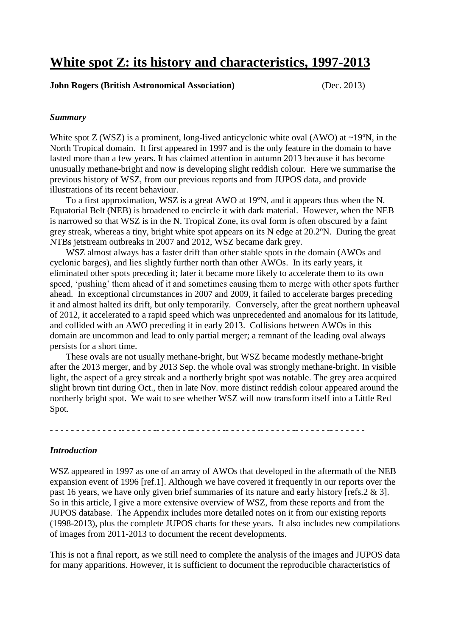# **White spot Z: its history and characteristics, 1997-2013**

#### **John Rogers (British Astronomical Association)** (Dec. 2013)

#### *Summary*

White spot  $Z$  (WSZ) is a prominent, long-lived anticyclonic white oval (AWO) at  $\sim$ 19°N, in the North Tropical domain. It first appeared in 1997 and is the only feature in the domain to have lasted more than a few years. It has claimed attention in autumn 2013 because it has become unusually methane-bright and now is developing slight reddish colour. Here we summarise the previous history of WSZ, from our previous reports and from JUPOS data, and provide illustrations of its recent behaviour.

To a first approximation, WSZ is a great AWO at 19ºN, and it appears thus when the N. Equatorial Belt (NEB) is broadened to encircle it with dark material. However, when the NEB is narrowed so that WSZ is in the N. Tropical Zone, its oval form is often obscured by a faint grey streak, whereas a tiny, bright white spot appears on its N edge at 20.2ºN. During the great NTBs jetstream outbreaks in 2007 and 2012, WSZ became dark grey.

WSZ almost always has a faster drift than other stable spots in the domain (AWOs and cyclonic barges), and lies slightly further north than other AWOs. In its early years, it eliminated other spots preceding it; later it became more likely to accelerate them to its own speed, 'pushing' them ahead of it and sometimes causing them to merge with other spots further ahead. In exceptional circumstances in 2007 and 2009, it failed to accelerate barges preceding it and almost halted its drift, but only temporarily. Conversely, after the great northern upheaval of 2012, it accelerated to a rapid speed which was unprecedented and anomalous for its latitude, and collided with an AWO preceding it in early 2013. Collisions between AWOs in this domain are uncommon and lead to only partial merger; a remnant of the leading oval always persists for a short time.

These ovals are not usually methane-bright, but WSZ became modestly methane-bright after the 2013 merger, and by 2013 Sep. the whole oval was strongly methane-bright. In visible light, the aspect of a grey streak and a northerly bright spot was notable. The grey area acquired slight brown tint during Oct., then in late Nov. more distinct reddish colour appeared around the northerly bright spot. We wait to see whether WSZ will now transform itself into a Little Red Spot.

- - - - - - - - - - - - - -- - - - - - -- - - - - - -- - - - - - -- - - - - - -- - - - - - -- - - - - - -- - - - - - -

## *Introduction*

WSZ appeared in 1997 as one of an array of AWOs that developed in the aftermath of the NEB expansion event of 1996 [ref.1]. Although we have covered it frequently in our reports over the past 16 years, we have only given brief summaries of its nature and early history [refs.2 & 3]. So in this article, I give a more extensive overview of WSZ, from these reports and from the JUPOS database. The Appendix includes more detailed notes on it from our existing reports (1998-2013), plus the complete JUPOS charts for these years. It also includes new compilations of images from 2011-2013 to document the recent developments.

This is not a final report, as we still need to complete the analysis of the images and JUPOS data for many apparitions. However, it is sufficient to document the reproducible characteristics of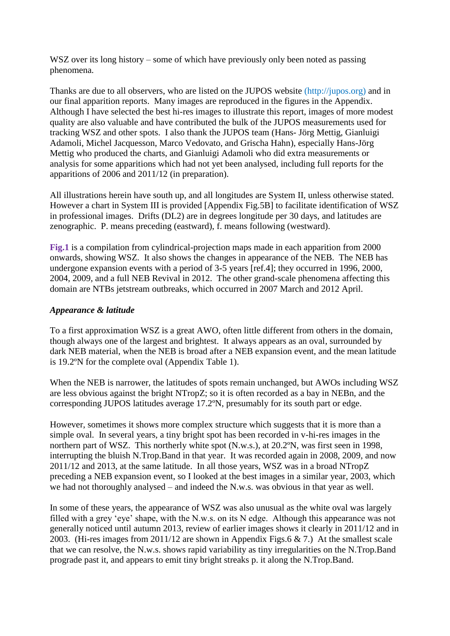WSZ over its long history – some of which have previously only been noted as passing phenomena.

Thanks are due to all observers, who are listed on the JUPOS website (http://jupos.org) and in our final apparition reports. Many images are reproduced in the figures in the Appendix. Although I have selected the best hi-res images to illustrate this report, images of more modest quality are also valuable and have contributed the bulk of the JUPOS measurements used for tracking WSZ and other spots. I also thank the JUPOS team (Hans- Jörg Mettig, Gianluigi Adamoli, Michel Jacquesson, Marco Vedovato, and Grischa Hahn), especially Hans-Jörg Mettig who produced the charts, and Gianluigi Adamoli who did extra measurements or analysis for some apparitions which had not yet been analysed, including full reports for the apparitions of 2006 and 2011/12 (in preparation).

All illustrations herein have south up, and all longitudes are System II, unless otherwise stated. However a chart in System III is provided [Appendix Fig.5B] to facilitate identification of WSZ in professional images. Drifts (DL2) are in degrees longitude per 30 days, and latitudes are zenographic. P. means preceding (eastward), f. means following (westward).

**Fig.1** is a compilation from cylindrical-projection maps made in each apparition from 2000 onwards, showing WSZ. It also shows the changes in appearance of the NEB. The NEB has undergone expansion events with a period of 3-5 years [ref.4]; they occurred in 1996, 2000, 2004, 2009, and a full NEB Revival in 2012. The other grand-scale phenomena affecting this domain are NTBs jetstream outbreaks, which occurred in 2007 March and 2012 April.

## *Appearance & latitude*

To a first approximation WSZ is a great AWO, often little different from others in the domain, though always one of the largest and brightest. It always appears as an oval, surrounded by dark NEB material, when the NEB is broad after a NEB expansion event, and the mean latitude is 19.2ºN for the complete oval (Appendix Table 1).

When the NEB is narrower, the latitudes of spots remain unchanged, but AWOs including WSZ are less obvious against the bright NTropZ; so it is often recorded as a bay in NEBn, and the corresponding JUPOS latitudes average 17.2ºN, presumably for its south part or edge.

However, sometimes it shows more complex structure which suggests that it is more than a simple oval. In several years, a tiny bright spot has been recorded in v-hi-res images in the northern part of WSZ. This northerly white spot (N.w.s.), at 20.2ºN, was first seen in 1998, interrupting the bluish N.Trop.Band in that year. It was recorded again in 2008, 2009, and now 2011/12 and 2013, at the same latitude. In all those years, WSZ was in a broad NTropZ preceding a NEB expansion event, so I looked at the best images in a similar year, 2003, which we had not thoroughly analysed – and indeed the N.w.s. was obvious in that year as well.

In some of these years, the appearance of WSZ was also unusual as the white oval was largely filled with a grey 'eye' shape, with the N.w.s. on its N edge. Although this appearance was not generally noticed until autumn 2013, review of earlier images shows it clearly in 2011/12 and in 2003. (Hi-res images from 2011/12 are shown in Appendix Figs.6 & 7.) At the smallest scale that we can resolve, the N.w.s. shows rapid variability as tiny irregularities on the N.Trop.Band prograde past it, and appears to emit tiny bright streaks p. it along the N.Trop.Band.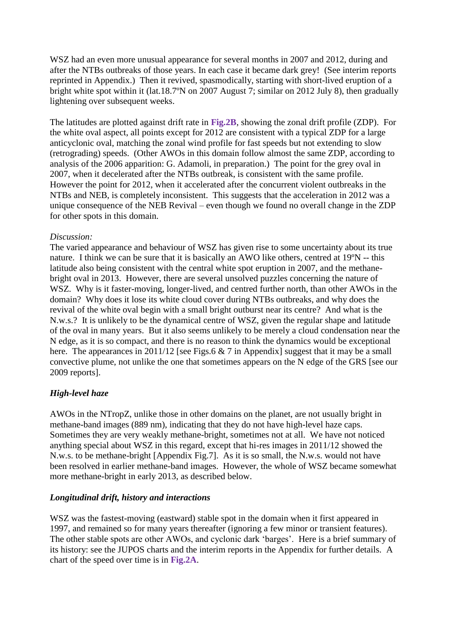WSZ had an even more unusual appearance for several months in 2007 and 2012, during and after the NTBs outbreaks of those years. In each case it became dark grey! (See interim reports reprinted in Appendix.) Then it revived, spasmodically, starting with short-lived eruption of a bright white spot within it (lat.18.7ºN on 2007 August 7; similar on 2012 July 8), then gradually lightening over subsequent weeks.

The latitudes are plotted against drift rate in **Fig.2B**, showing the zonal drift profile (ZDP). For the white oval aspect, all points except for 2012 are consistent with a typical ZDP for a large anticyclonic oval, matching the zonal wind profile for fast speeds but not extending to slow (retrograding) speeds. (Other AWOs in this domain follow almost the same ZDP, according to analysis of the 2006 apparition: G. Adamoli, in preparation.) The point for the grey oval in 2007, when it decelerated after the NTBs outbreak, is consistent with the same profile. However the point for 2012, when it accelerated after the concurrent violent outbreaks in the NTBs and NEB, is completely inconsistent. This suggests that the acceleration in 2012 was a unique consequence of the NEB Revival – even though we found no overall change in the ZDP for other spots in this domain.

## *Discussion:*

The varied appearance and behaviour of WSZ has given rise to some uncertainty about its true nature. I think we can be sure that it is basically an AWO like others, centred at 19ºN -- this latitude also being consistent with the central white spot eruption in 2007, and the methanebright oval in 2013. However, there are several unsolved puzzles concerning the nature of WSZ. Why is it faster-moving, longer-lived, and centred further north, than other AWOs in the domain? Why does it lose its white cloud cover during NTBs outbreaks, and why does the revival of the white oval begin with a small bright outburst near its centre? And what is the N.w.s.? It is unlikely to be the dynamical centre of WSZ, given the regular shape and latitude of the oval in many years. But it also seems unlikely to be merely a cloud condensation near the N edge, as it is so compact, and there is no reason to think the dynamics would be exceptional here. The appearances in 2011/12 [see Figs.6  $& 7$  in Appendix] suggest that it may be a small convective plume, not unlike the one that sometimes appears on the N edge of the GRS [see our 2009 reports].

## *High-level haze*

AWOs in the NTropZ, unlike those in other domains on the planet, are not usually bright in methane-band images (889 nm), indicating that they do not have high-level haze caps. Sometimes they are very weakly methane-bright, sometimes not at all. We have not noticed anything special about WSZ in this regard, except that hi-res images in 2011/12 showed the N.w.s. to be methane-bright [Appendix Fig.7]. As it is so small, the N.w.s. would not have been resolved in earlier methane-band images. However, the whole of WSZ became somewhat more methane-bright in early 2013, as described below.

## *Longitudinal drift, history and interactions*

WSZ was the fastest-moving (eastward) stable spot in the domain when it first appeared in 1997, and remained so for many years thereafter (ignoring a few minor or transient features). The other stable spots are other AWOs, and cyclonic dark 'barges'. Here is a brief summary of its history: see the JUPOS charts and the interim reports in the Appendix for further details. A chart of the speed over time is in **Fig.2A**.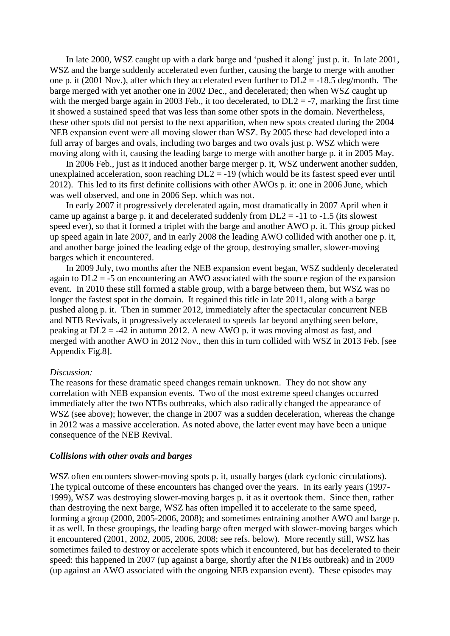In late 2000, WSZ caught up with a dark barge and 'pushed it along' just p. it. In late 2001, WSZ and the barge suddenly accelerated even further, causing the barge to merge with another one p. it (2001 Nov.), after which they accelerated even further to  $DL2 = -18.5$  deg/month. The barge merged with yet another one in 2002 Dec., and decelerated; then when WSZ caught up with the merged barge again in 2003 Feb., it too decelerated, to  $DL2 = -7$ , marking the first time it showed a sustained speed that was less than some other spots in the domain. Nevertheless, these other spots did not persist to the next apparition, when new spots created during the 2004 NEB expansion event were all moving slower than WSZ. By 2005 these had developed into a full array of barges and ovals, including two barges and two ovals just p. WSZ which were moving along with it, causing the leading barge to merge with another barge p. it in 2005 May.

In 2006 Feb., just as it induced another barge merger p. it, WSZ underwent another sudden, unexplained acceleration, soon reaching DL2 = -19 (which would be its fastest speed ever until 2012). This led to its first definite collisions with other AWOs p. it: one in 2006 June, which was well observed, and one in 2006 Sep. which was not.

In early 2007 it progressively decelerated again, most dramatically in 2007 April when it came up against a barge p. it and decelerated suddenly from  $DL2 = -11$  to  $-1.5$  (its slowest speed ever), so that it formed a triplet with the barge and another AWO p. it. This group picked up speed again in late 2007, and in early 2008 the leading AWO collided with another one p. it, and another barge joined the leading edge of the group, destroying smaller, slower-moving barges which it encountered.

In 2009 July, two months after the NEB expansion event began, WSZ suddenly decelerated again to DL2 = -5 on encountering an AWO associated with the source region of the expansion event. In 2010 these still formed a stable group, with a barge between them, but WSZ was no longer the fastest spot in the domain. It regained this title in late 2011, along with a barge pushed along p. it. Then in summer 2012, immediately after the spectacular concurrent NEB and NTB Revivals, it progressively accelerated to speeds far beyond anything seen before, peaking at DL2 = -42 in autumn 2012. A new AWO p. it was moving almost as fast, and merged with another AWO in 2012 Nov., then this in turn collided with WSZ in 2013 Feb. [see Appendix Fig.8].

#### *Discussion:*

The reasons for these dramatic speed changes remain unknown. They do not show any correlation with NEB expansion events. Two of the most extreme speed changes occurred immediately after the two NTBs outbreaks, which also radically changed the appearance of WSZ (see above); however, the change in 2007 was a sudden deceleration, whereas the change in 2012 was a massive acceleration. As noted above, the latter event may have been a unique consequence of the NEB Revival.

#### *Collisions with other ovals and barges*

WSZ often encounters slower-moving spots p. it, usually barges (dark cyclonic circulations). The typical outcome of these encounters has changed over the years. In its early years (1997- 1999), WSZ was destroying slower-moving barges p. it as it overtook them. Since then, rather than destroying the next barge, WSZ has often impelled it to accelerate to the same speed, forming a group (2000, 2005-2006, 2008); and sometimes entraining another AWO and barge p. it as well. In these groupings, the leading barge often merged with slower-moving barges which it encountered (2001, 2002, 2005, 2006, 2008; see refs. below). More recently still, WSZ has sometimes failed to destroy or accelerate spots which it encountered, but has decelerated to their speed: this happened in 2007 (up against a barge, shortly after the NTBs outbreak) and in 2009 (up against an AWO associated with the ongoing NEB expansion event). These episodes may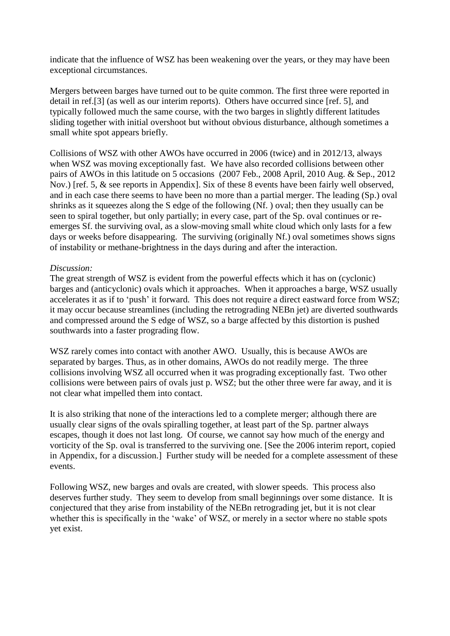indicate that the influence of WSZ has been weakening over the years, or they may have been exceptional circumstances.

Mergers between barges have turned out to be quite common. The first three were reported in detail in ref.[3] (as well as our interim reports). Others have occurred since [ref. 5], and typically followed much the same course, with the two barges in slightly different latitudes sliding together with initial overshoot but without obvious disturbance, although sometimes a small white spot appears briefly.

Collisions of WSZ with other AWOs have occurred in 2006 (twice) and in 2012/13, always when WSZ was moving exceptionally fast. We have also recorded collisions between other pairs of AWOs in this latitude on 5 occasions (2007 Feb., 2008 April, 2010 Aug. & Sep., 2012 Nov.) [ref. 5, & see reports in Appendix]. Six of these 8 events have been fairly well observed, and in each case there seems to have been no more than a partial merger. The leading (Sp.) oval shrinks as it squeezes along the S edge of the following (Nf. ) oval; then they usually can be seen to spiral together, but only partially; in every case, part of the Sp. oval continues or reemerges Sf. the surviving oval, as a slow-moving small white cloud which only lasts for a few days or weeks before disappearing. The surviving (originally Nf.) oval sometimes shows signs of instability or methane-brightness in the days during and after the interaction.

## *Discussion:*

The great strength of WSZ is evident from the powerful effects which it has on (cyclonic) barges and (anticyclonic) ovals which it approaches. When it approaches a barge, WSZ usually accelerates it as if to 'push' it forward. This does not require a direct eastward force from WSZ; it may occur because streamlines (including the retrograding NEBn jet) are diverted southwards and compressed around the S edge of WSZ, so a barge affected by this distortion is pushed southwards into a faster prograding flow.

WSZ rarely comes into contact with another AWO. Usually, this is because AWOs are separated by barges. Thus, as in other domains, AWOs do not readily merge. The three collisions involving WSZ all occurred when it was prograding exceptionally fast. Two other collisions were between pairs of ovals just p. WSZ; but the other three were far away, and it is not clear what impelled them into contact.

It is also striking that none of the interactions led to a complete merger; although there are usually clear signs of the ovals spiralling together, at least part of the Sp. partner always escapes, though it does not last long. Of course, we cannot say how much of the energy and vorticity of the Sp. oval is transferred to the surviving one. [See the 2006 interim report, copied in Appendix, for a discussion.] Further study will be needed for a complete assessment of these events.

Following WSZ, new barges and ovals are created, with slower speeds. This process also deserves further study. They seem to develop from small beginnings over some distance. It is conjectured that they arise from instability of the NEBn retrograding jet, but it is not clear whether this is specifically in the 'wake' of WSZ, or merely in a sector where no stable spots yet exist.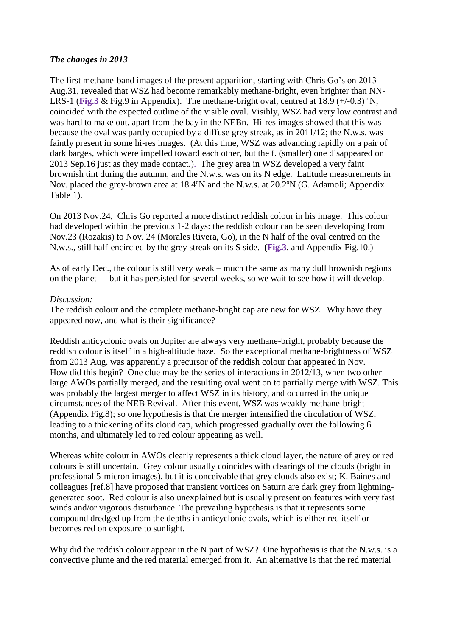## *The changes in 2013*

The first methane-band images of the present apparition, starting with Chris Go's on 2013 Aug.31, revealed that WSZ had become remarkably methane-bright, even brighter than NN-LRS-1 (**Fig.3** & Fig.9 in Appendix). The methane-bright oval, centred at 18.9 (+/-0.3) ºN, coincided with the expected outline of the visible oval. Visibly, WSZ had very low contrast and was hard to make out, apart from the bay in the NEBn. Hi-res images showed that this was because the oval was partly occupied by a diffuse grey streak, as in 2011/12; the N.w.s. was faintly present in some hi-res images. (At this time, WSZ was advancing rapidly on a pair of dark barges, which were impelled toward each other, but the f. (smaller) one disappeared on 2013 Sep.16 just as they made contact.). The grey area in WSZ developed a very faint brownish tint during the autumn, and the N.w.s. was on its N edge. Latitude measurements in Nov. placed the grey-brown area at 18.4ºN and the N.w.s. at 20.2ºN (G. Adamoli; Appendix Table 1).

On 2013 Nov.24, Chris Go reported a more distinct reddish colour in his image. This colour had developed within the previous 1-2 days: the reddish colour can be seen developing from Nov.23 (Rozakis) to Nov. 24 (Morales Rivera, Go), in the N half of the oval centred on the N.w.s., still half-encircled by the grey streak on its S side. (**Fig.3**, and Appendix Fig.10.)

As of early Dec., the colour is still very weak – much the same as many dull brownish regions on the planet -- but it has persisted for several weeks, so we wait to see how it will develop.

#### *Discussion:*

The reddish colour and the complete methane-bright cap are new for WSZ. Why have they appeared now, and what is their significance?

Reddish anticyclonic ovals on Jupiter are always very methane-bright, probably because the reddish colour is itself in a high-altitude haze. So the exceptional methane-brightness of WSZ from 2013 Aug. was apparently a precursor of the reddish colour that appeared in Nov. How did this begin? One clue may be the series of interactions in 2012/13, when two other large AWOs partially merged, and the resulting oval went on to partially merge with WSZ. This was probably the largest merger to affect WSZ in its history, and occurred in the unique circumstances of the NEB Revival. After this event, WSZ was weakly methane-bright (Appendix Fig.8); so one hypothesis is that the merger intensified the circulation of WSZ, leading to a thickening of its cloud cap, which progressed gradually over the following 6 months, and ultimately led to red colour appearing as well.

Whereas white colour in AWOs clearly represents a thick cloud layer, the nature of grey or red colours is still uncertain. Grey colour usually coincides with clearings of the clouds (bright in professional 5-micron images), but it is conceivable that grey clouds also exist; K. Baines and colleagues [ref.8] have proposed that transient vortices on Saturn are dark grey from lightninggenerated soot. Red colour is also unexplained but is usually present on features with very fast winds and/or vigorous disturbance. The prevailing hypothesis is that it represents some compound dredged up from the depths in anticyclonic ovals, which is either red itself or becomes red on exposure to sunlight.

Why did the reddish colour appear in the N part of WSZ? One hypothesis is that the N.w.s. is a convective plume and the red material emerged from it. An alternative is that the red material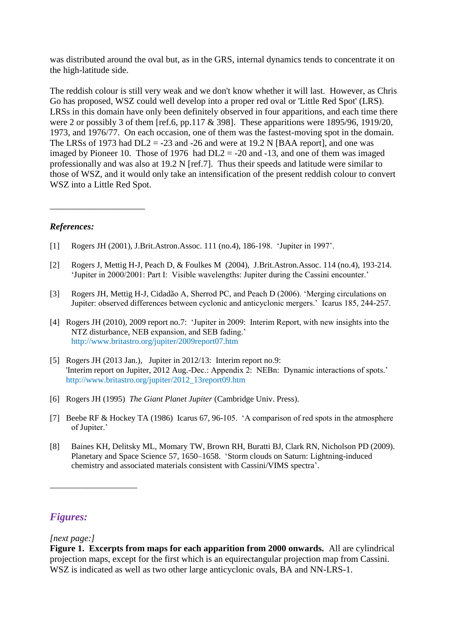was distributed around the oval but, as in the GRS, internal dynamics tends to concentrate it on the high-latitude side.

The reddish colour is still very weak and we don't know whether it will last. However, as Chris Go has proposed, WSZ could well develop into a proper red oval or 'Little Red Spot' (LRS). LRSs in this domain have only been definitely observed in four apparitions, and each time there were 2 or possibly 3 of them [ref.6, pp.117 & 398]. These apparitions were 1895/96, 1919/20, 1973, and 1976/77. On each occasion, one of them was the fastest-moving spot in the domain. The LRSs of 1973 had  $DL2 = -23$  and  $-26$  and were at 19.2 N [BAA report], and one was imaged by Pioneer 10. Those of 1976 had  $DL2 = -20$  and  $-13$ , and one of them was imaged professionally and was also at 19.2 N [ref.7]. Thus their speeds and latitude were similar to those of WSZ, and it would only take an intensification of the present reddish colour to convert WSZ into a Little Red Spot.

## *References:*

\_\_\_\_\_\_\_\_\_\_\_\_\_\_\_\_\_\_\_\_\_

- [1] Rogers JH (2001), J.Brit.Astron.Assoc. 111 (no.4), 186-198. 'Jupiter in 1997'.
- [2] Rogers J, Mettig H-J, Peach D, & Foulkes M (2004), J.Brit.Astron.Assoc. 114 (no.4), 193-214. 'Jupiter in 2000/2001: Part I: Visible wavelengths: Jupiter during the Cassini encounter.'
- [3] Rogers JH, Mettig H-J, Cidadão A, Sherrod PC, and Peach D (2006). 'Merging circulations on Jupiter: observed differences between cyclonic and anticyclonic mergers.' Icarus 185, 244-257.
- [4] Rogers JH (2010), 2009 report no.7: 'Jupiter in 2009: Interim Report, with new insights into the NTZ disturbance, NEB expansion, and SEB fading.' http://www.britastro.org/jupiter/2009report07.htm
- [5] Rogers JH (2013 Jan.), Jupiter in 2012/13: Interim report no.9: 'Interim report on Jupiter, 2012 Aug.-Dec.: Appendix 2: NEBn: Dynamic interactions of spots.' http://www.britastro.org/jupiter/2012\_13report09.htm
- [6] Rogers JH (1995) *The Giant Planet Jupiter* (Cambridge Univ. Press).
- [7] Beebe RF & Hockey TA (1986) Icarus 67, 96-105. 'A comparison of red spots in the atmosphere of Jupiter.'
- [8] Baines KH, Delitsky ML, Momary TW, Brown RH, Buratti BJ, Clark RN, Nicholson PD (2009). Planetary and Space Science 57, 1650–1658. 'Storm clouds on Saturn: Lightning-induced chemistry and associated materials consistent with Cassini/VIMS spectra'.

## *Figures:*

## *[next page:]*

\_\_\_\_\_\_\_\_\_\_\_\_\_\_\_\_\_\_\_\_\_

**Figure 1. Excerpts from maps for each apparition from 2000 onwards.** All are cylindrical projection maps, except for the first which is an equirectangular projection map from Cassini. WSZ is indicated as well as two other large anticyclonic ovals, BA and NN-LRS-1.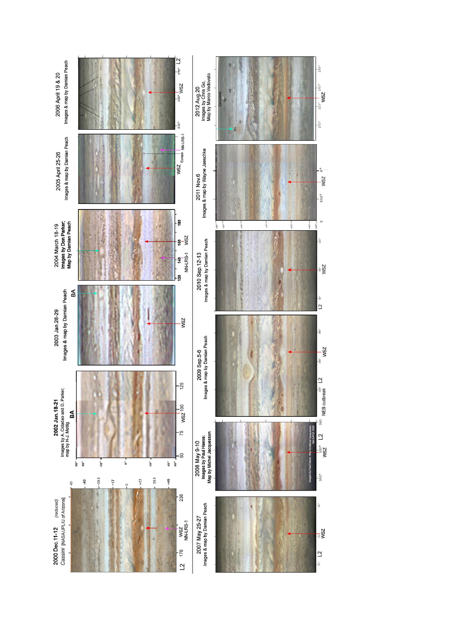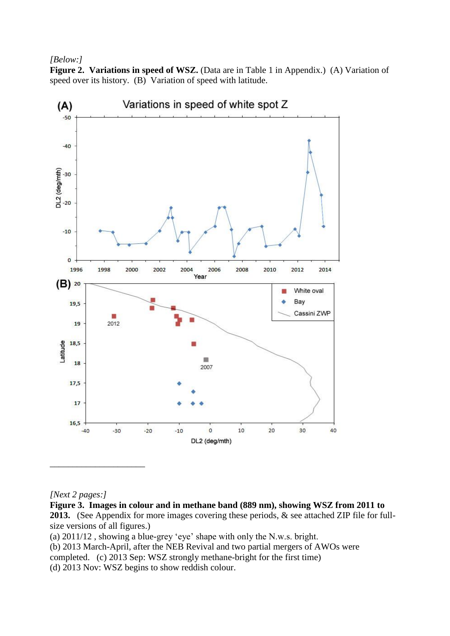### *[Below:]*

**Figure 2. Variations in speed of WSZ.** (Data are in Table 1 in Appendix.) (A) Variation of speed over its history. (B) Variation of speed with latitude.



## *[Next 2 pages:]*

**Figure 3. Images in colour and in methane band (889 nm), showing WSZ from 2011 to 2013.** (See Appendix for more images covering these periods, & see attached ZIP file for fullsize versions of all figures.) (a) 2011/12 , showing a blue-grey 'eye' shape with only the N.w.s. bright. (b) 2013 March-April, after the NEB Revival and two partial mergers of AWOs were completed. (c) 2013 Sep: WSZ strongly methane-bright for the first time) (d) 2013 Nov: WSZ begins to show reddish colour.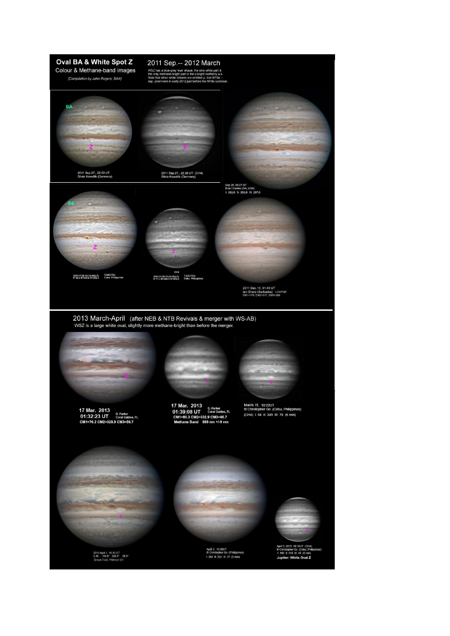